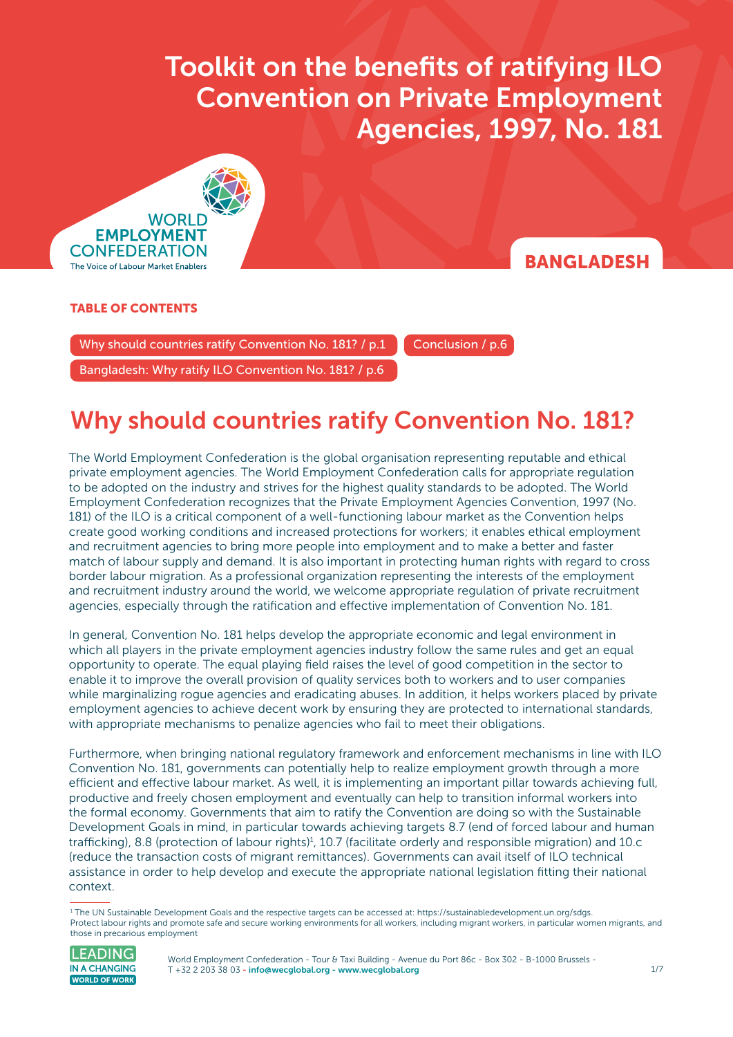$\sigma$  and benefits of ratification on Private Employment Agencies, 1997, No. 1817, No. 1817, No. 1817, No. 1817, No. 1817, No. 1817, No. 1817, No. 1817, No. 1817, No. 1817, No. 1817, No. 1817, No. 1817, No. 1817, No. 1817, **Convention on Private Employment** Toolkit on the benefits of ratifying ILO Agencies, 1997, No. 181



### RANGI ADFSH

#### TABLE OF CONTENTS

Why should countries ratify Convention No. 181?  $/ p.1$  Conclusion  $/ p.6$ 

[Bangladesh: Why ratify ILO Convention No. 181? / p.6](#page-5-0) 

# Why should countries ratify Convention No. 181?

#### The World Employment Confederation is the global organisation representing reputable and ethical private employment agencies. The World Employment Confederation calls for appropriate regulation to be adopted on the industry and strives for the highest quality standards to be adopted. The World Employment Confederation recognizes that the Private Employment Agencies Convention, 1997 (No. 181) of the ILO is a critical component of a well-functioning labour market as the Convention helps create good working conditions and increased protections for workers; it enables ethical employment and recruitment agencies to bring more people into employment and to make a better and faster match of labour supply and demand. It is also important in protecting human rights with regard to cross border labour migration. As a professional organization representing the interests of the employment and recruitment industry around the world, we welcome appropriate regulation of private recruitment agencies, especially through the ratification and effective implementation of Convention No. 181.

In general, Convention No. 181 helps develop the appropriate economic and legal environment in which all players in the private employment agencies industry follow the same rules and get an equal opportunity to operate. The equal playing field raises the level of good competition in the sector to enable it to improve the overall provision of quality services both to workers and to user companies while marginalizing rogue agencies and eradicating abuses. In addition, it helps workers placed by private employment agencies to achieve decent work by ensuring they are protected to international standards, with appropriate mechanisms to penalize agencies who fail to meet their obligations.

Furthermore, when bringing national regulatory framework and enforcement mechanisms in line with ILO Convention No. 181, governments can potentially help to realize employment growth through a more efficient and effective labour market. As well, it is implementing an important pillar towards achieving full, productive and freely chosen employment and eventually can help to transition informal workers into the formal economy. Governments that aim to ratify the Convention are doing so with the Sustainable Development Goals in mind, in particular towards achieving targets 8.7 (end of forced labour and human trafficking), 8.8 (protection of labour rights)<sup>1</sup>, 10.7 (facilitate orderly and responsible migration) and 10.c (reduce the transaction costs of migrant remittances). Governments can avail itself of ILO technical assistance in order to help develop and execute the appropriate national legislation fitting their national context.

<sup>1</sup> The UN Sustainable Development Goals and the respective targets can be accessed at: <https://sustainabledevelopment.un.org/sdgs>. Protect labour rights and promote safe and secure working environments for all workers, including migrant workers, in particular women migrants, and those in precarious employment



World Employment Confederation - Tour & Taxi Building - Avenue du Port 86c - Box 302 - B-1000 Brussels -T +32 2 203 38 03 [- info@wecglobal.org](mailto:info%40wecglobal.org?subject=) - [www.wecglobal.org](http://www.wecglobal.org)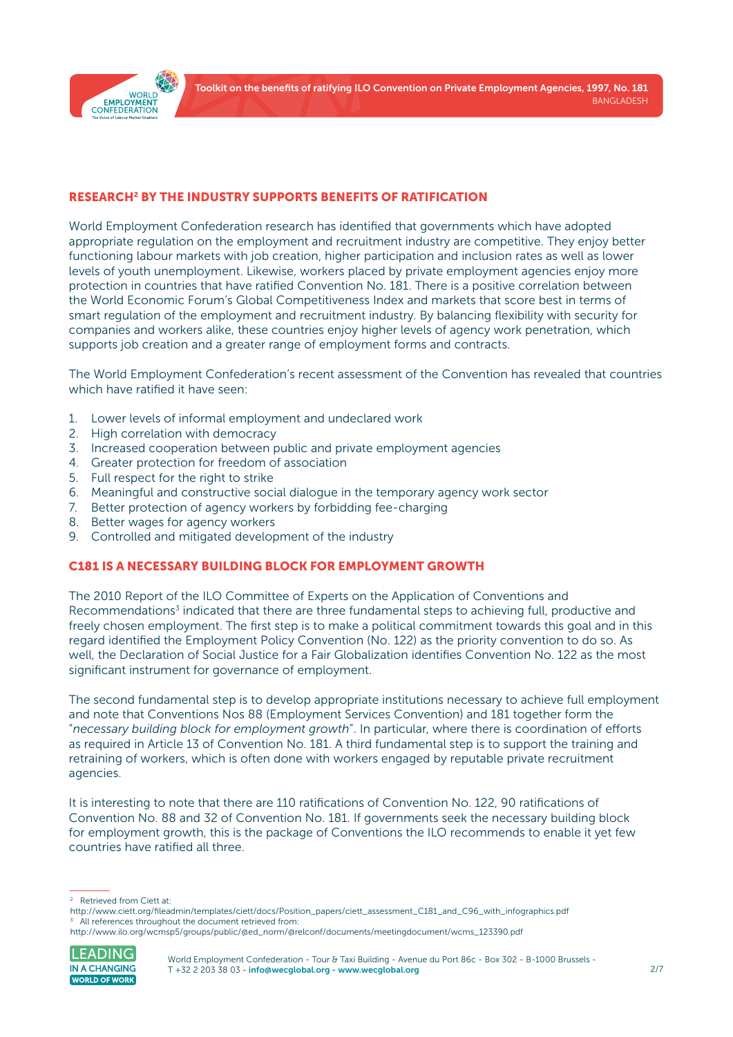

#### RESEARCH2 BY THE INDUSTRY SUPPORTS BENEFITS OF RATIFICATION

World Employment Confederation research has identified that governments which have adopted appropriate regulation on the employment and recruitment industry are competitive. They enjoy better functioning labour markets with job creation, higher participation and inclusion rates as well as lower levels of youth unemployment. Likewise, workers placed by private employment agencies enjoy more protection in countries that have ratified Convention No. 181. There is a positive correlation between the World Economic Forum's Global Competitiveness Index and markets that score best in terms of smart regulation of the employment and recruitment industry. By balancing flexibility with security for companies and workers alike, these countries enjoy higher levels of agency work penetration, which supports job creation and a greater range of employment forms and contracts.

The World Employment Confederation's recent assessment of the Convention has revealed that countries which have ratified it have seen:

- 1. Lower levels of informal employment and undeclared work
- 2. High correlation with democracy
- 3. Increased cooperation between public and private employment agencies
- 4. Greater protection for freedom of association
- 5. Full respect for the right to strike
- 6. Meaningful and constructive social dialogue in the temporary agency work sector
- 7. Better protection of agency workers by forbidding fee-charging
- 8. Better wages for agency workers
- 9. Controlled and mitigated development of the industry

#### C181 IS A NECESSARY BUILDING BLOCK FOR EMPLOYMENT GROWTH

The 2010 Report of the ILO Committee of Experts on the Application of Conventions and Recommendations<sup>3</sup> indicated that there are three fundamental steps to achieving full, productive and freely chosen employment. The first step is to make a political commitment towards this goal and in this regard identified the Employment Policy Convention (No. 122) as the priority convention to do so. As well, the Declaration of Social Justice for a Fair Globalization identifies Convention No. 122 as the most significant instrument for governance of employment.

The second fundamental step is to develop appropriate institutions necessary to achieve full employment and note that Conventions Nos 88 (Employment Services Convention) and 181 together form the "*necessary building block for employment growth*". In particular, where there is coordination of efforts as required in Article 13 of Convention No. 181. A third fundamental step is to support the training and retraining of workers, which is often done with workers engaged by reputable private recruitment agencies.

It is interesting to note that there are 110 ratifications of Convention No. 122, 90 ratifications of Convention No. 88 and 32 of Convention No. 181. If governments seek the necessary building block for employment growth, this is the package of Conventions the ILO recommends to enable it yet few countries have ratified all three.

[http://www.ilo.org/wcmsp5/groups/public/@ed\\_norm/@relconf/documents/meetingdocument/wcms\\_123390.pdf](http://www.ilo.org/wcmsp5/groups/public/@ed_norm/@relconf/documents/meetingdocument/wcms_123390.pdf)



<sup>2</sup> Retrieved from Ciett at:

[http://www.ciett.org/fileadmin/templates/ciett/docs/Position\\_papers/ciett\\_assessment\\_C181\\_and\\_C96\\_with\\_infographics.pdf](http://www.ciett.org/fileadmin/templates/ciett/docs/Position_papers/ciett_assessment_C181_and_C96_with_infographics.pdf) All references throughout the document retrieved from: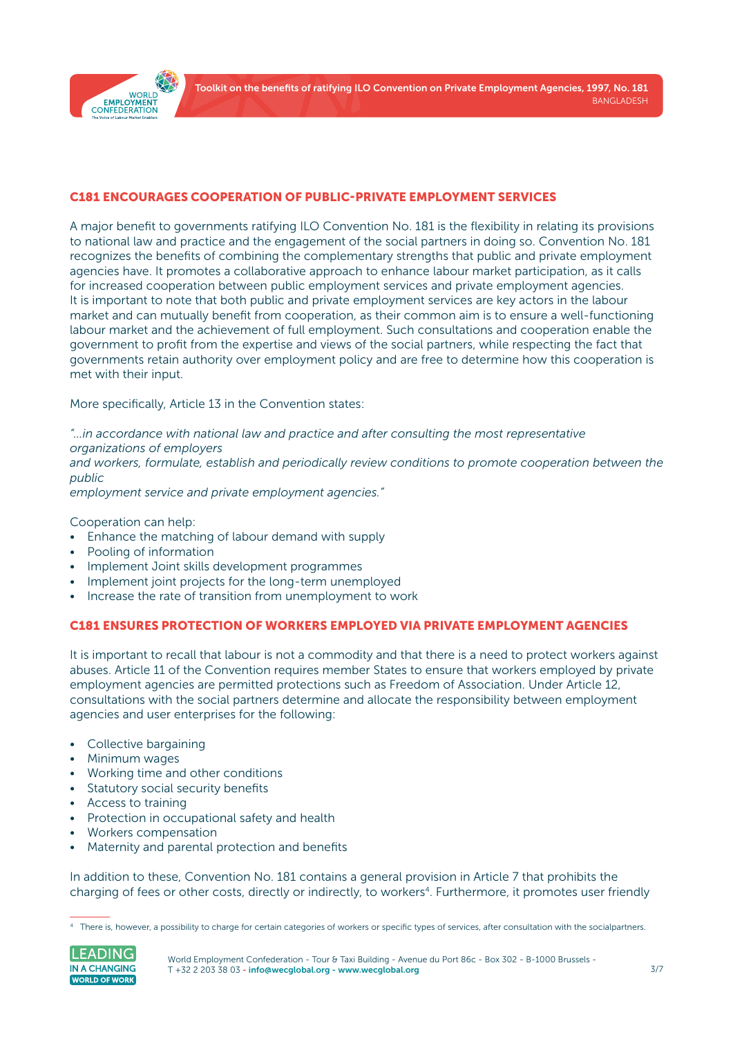

#### C181 ENCOURAGES COOPERATION OF PUBLIC-PRIVATE EMPLOYMENT SERVICES

A major benefit to governments ratifying ILO Convention No. 181 is the flexibility in relating its provisions to national law and practice and the engagement of the social partners in doing so. Convention No. 181 recognizes the benefits of combining the complementary strengths that public and private employment agencies have. It promotes a collaborative approach to enhance labour market participation, as it calls for increased cooperation between public employment services and private employment agencies. It is important to note that both public and private employment services are key actors in the labour market and can mutually benefit from cooperation, as their common aim is to ensure a well-functioning labour market and the achievement of full employment. Such consultations and cooperation enable the government to profit from the expertise and views of the social partners, while respecting the fact that governments retain authority over employment policy and are free to determine how this cooperation is met with their input.

More specifically, Article 13 in the Convention states:

*"…in accordance with national law and practice and after consulting the most representative organizations of employers*

*and workers, formulate, establish and periodically review conditions to promote cooperation between the public*

*employment service and private employment agencies."*

Cooperation can help:

- Enhance the matching of labour demand with supply
- Pooling of information
- Implement Joint skills development programmes
- Implement joint projects for the long-term unemployed
- Increase the rate of transition from unemployment to work

#### C181 ENSURES PROTECTION OF WORKERS EMPLOYED VIA PRIVATE EMPLOYMENT AGENCIES

It is important to recall that labour is not a commodity and that there is a need to protect workers against abuses. Article 11 of the Convention requires member States to ensure that workers employed by private employment agencies are permitted protections such as Freedom of Association. Under Article 12, consultations with the social partners determine and allocate the responsibility between employment agencies and user enterprises for the following:

- Collective bargaining
- Minimum wages
- Working time and other conditions
- Statutory social security benefits
- Access to training
- Protection in occupational safety and health
- Workers compensation
- Maternity and parental protection and benefits

In addition to these, Convention No. 181 contains a general provision in Article 7 that prohibits the charging of fees or other costs, directly or indirectly, to workers<sup>4</sup>. Furthermore, it promotes user friendly

<sup>4</sup> There is, however, a possibility to charge for certain categories of workers or specific types of services, after consultation with the socialpartners.

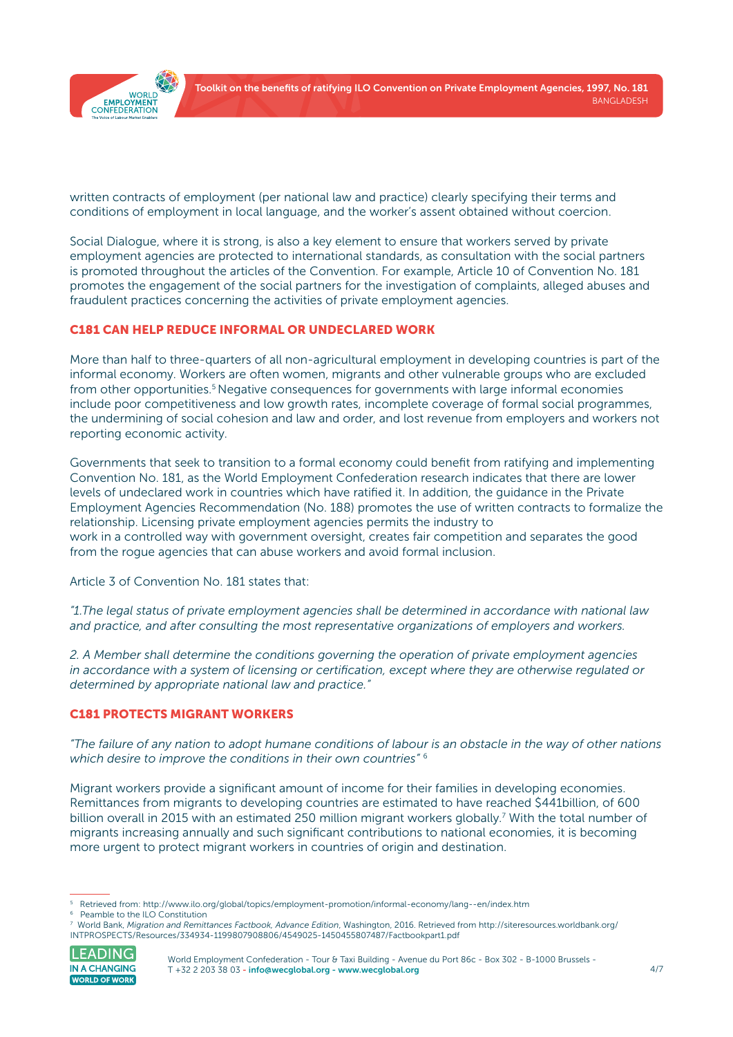

written contracts of employment (per national law and practice) clearly specifying their terms and conditions of employment in local language, and the worker's assent obtained without coercion.

Social Dialogue, where it is strong, is also a key element to ensure that workers served by private employment agencies are protected to international standards, as consultation with the social partners is promoted throughout the articles of the Convention. For example, Article 10 of Convention No. 181 promotes the engagement of the social partners for the investigation of complaints, alleged abuses and fraudulent practices concerning the activities of private employment agencies.

#### C181 CAN HELP REDUCE INFORMAL OR UNDECLARED WORK

More than half to three-quarters of all non-agricultural employment in developing countries is part of the informal economy. Workers are often women, migrants and other vulnerable groups who are excluded from other opportunities.<sup>5</sup> Negative consequences for governments with large informal economies include poor competitiveness and low growth rates, incomplete coverage of formal social programmes, the undermining of social cohesion and law and order, and lost revenue from employers and workers not reporting economic activity.

Governments that seek to transition to a formal economy could benefit from ratifying and implementing Convention No. 181, as the World Employment Confederation research indicates that there are lower levels of undeclared work in countries which have ratified it. In addition, the guidance in the Private Employment Agencies Recommendation (No. 188) promotes the use of written contracts to formalize the relationship. Licensing private employment agencies permits the industry to work in a controlled way with government oversight, creates fair competition and separates the good from the rogue agencies that can abuse workers and avoid formal inclusion.

Article 3 of Convention No. 181 states that:

*"1.The legal status of private employment agencies shall be determined in accordance with national law and practice, and after consulting the most representative organizations of employers and workers.*

*2. A Member shall determine the conditions governing the operation of private employment agencies in accordance with a system of licensing or certification, except where they are otherwise regulated or determined by appropriate national law and practice."*

#### C181 PROTECTS MIGRANT WORKERS

*"The failure of any nation to adopt humane conditions of labour is an obstacle in the way of other nations which desire to improve the conditions in their own countries"* <sup>6</sup>

Migrant workers provide a significant amount of income for their families in developing economies. Remittances from migrants to developing countries are estimated to have reached \$441billion, of 600 billion overall in 2015 with an estimated 250 million migrant workers globally.<sup>7</sup> With the total number of migrants increasing annually and such significant contributions to national economies, it is becoming more urgent to protect migrant workers in countries of origin and destination.

<sup>7</sup> World Bank, *Migration and Remittances Factbook, Advance Edition*, Washington, 2016. Retrieved from [http://siteresources.worldbank.org/](http://siteresources.worldbank.org/INTPROSPECTS/Resources/334934-1199807908806/4549025-1450455807487) [INTPROSPECTS/Resources/334934-1199807908806/4549025-1450455807487/Factbookpart1.pdf](http://siteresources.worldbank.org/INTPROSPECTS/Resources/334934-1199807908806/4549025-1450455807487) 



World Employment Confederation - Tour & Taxi Building - Avenue du Port 86c - Box 302 - B-1000 Brussels -T +32 2 203 38 03 [- info@wecglobal.org](mailto:info%40wecglobal.org?subject=) - [www.wecglobal.org](http://www.wecglobal.org)

<sup>5</sup> Retrieved from:<http://www.ilo.org/global/topics/employment-promotion/informal-economy/lang--en/index.htm>

<sup>6</sup> Peamble to the ILO Constitution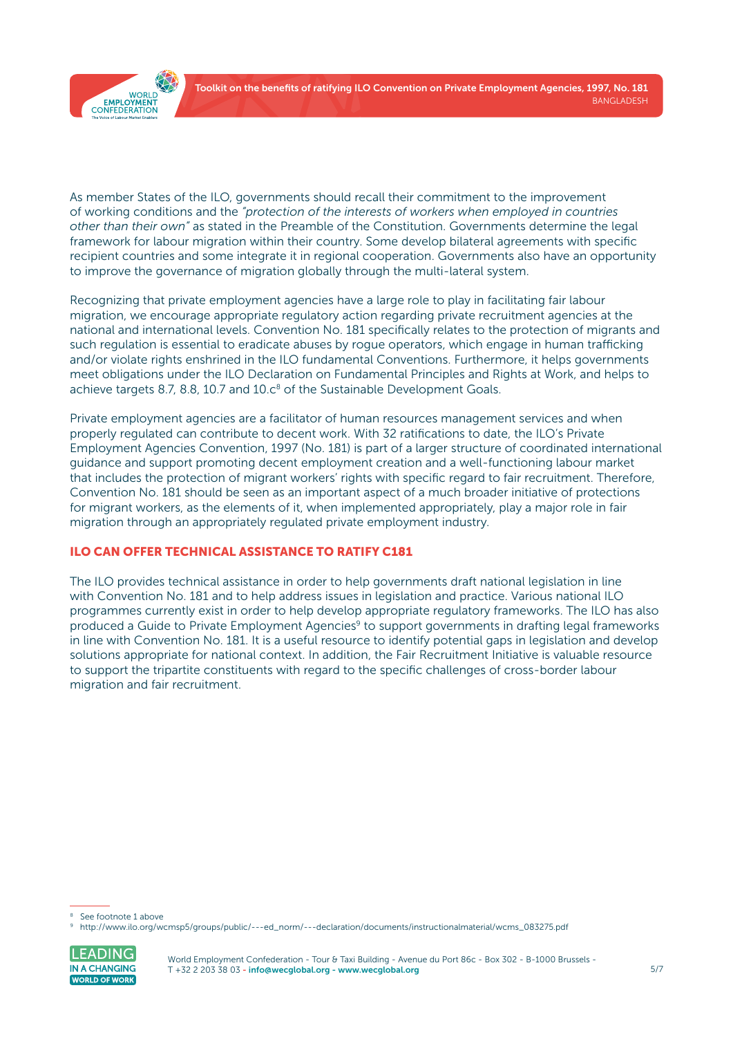

As member States of the ILO, governments should recall their commitment to the improvement of working conditions and the *"protection of the interests of workers when employed in countries other than their own"* as stated in the Preamble of the Constitution. Governments determine the legal framework for labour migration within their country. Some develop bilateral agreements with specific recipient countries and some integrate it in regional cooperation. Governments also have an opportunity to improve the governance of migration globally through the multi-lateral system.

Recognizing that private employment agencies have a large role to play in facilitating fair labour migration, we encourage appropriate regulatory action regarding private recruitment agencies at the national and international levels. Convention No. 181 specifically relates to the protection of migrants and such regulation is essential to eradicate abuses by rogue operators, which engage in human trafficking and/or violate rights enshrined in the ILO fundamental Conventions. Furthermore, it helps governments meet obligations under the ILO Declaration on Fundamental Principles and Rights at Work, and helps to achieve targets 8.7, 8.8, 10.7 and  $10.c<sup>8</sup>$  of the Sustainable Development Goals.

Private employment agencies are a facilitator of human resources management services and when properly regulated can contribute to decent work. With 32 ratifications to date, the ILO's Private Employment Agencies Convention, 1997 (No. 181) is part of a larger structure of coordinated international guidance and support promoting decent employment creation and a well-functioning labour market that includes the protection of migrant workers' rights with specific regard to fair recruitment. Therefore, Convention No. 181 should be seen as an important aspect of a much broader initiative of protections for migrant workers, as the elements of it, when implemented appropriately, play a major role in fair migration through an appropriately regulated private employment industry.

#### ILO CAN OFFER TECHNICAL ASSISTANCE TO RATIFY C181

The ILO provides technical assistance in order to help governments draft national legislation in line with Convention No. 181 and to help address issues in legislation and practice. Various national ILO programmes currently exist in order to help develop appropriate regulatory frameworks. The ILO has also produced a Guide to Private Employment Agencies<sup>9</sup> to support governments in drafting legal frameworks in line with Convention No. 181. It is a useful resource to identify potential gaps in legislation and develop solutions appropriate for national context. In addition, the Fair Recruitment Initiative is valuable resource to support the tripartite constituents with regard to the specific challenges of cross-border labour migration and fair recruitment.

<sup>9</sup> [http://www.ilo.org/wcmsp5/groups/public/---ed\\_norm/---declaration/documents/instructionalmaterial/wcms\\_083275.pdf](http://www.ilo.org/wcmsp5/groups/public/---ed_norm/---declaration/documents/instructionalmaterial/wcms_083275.pdf)



See footnote 1 above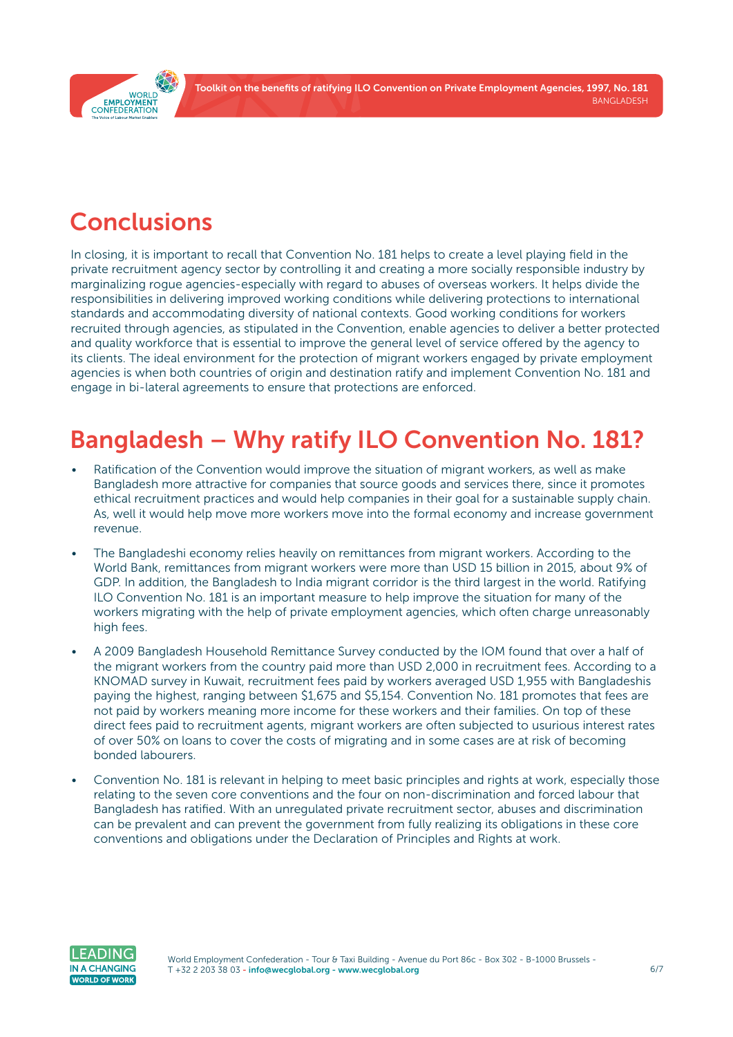Toolkit on the benefits of ratifying ILO Convention on Private Employment Agencies, 1997, No. 181 BANGLADESH

<span id="page-5-0"></span>

### **Conclusions**

In closing, it is important to recall that Convention No. 181 helps to create a level playing field in the private recruitment agency sector by controlling it and creating a more socially responsible industry by marginalizing rogue agencies-especially with regard to abuses of overseas workers. It helps divide the responsibilities in delivering improved working conditions while delivering protections to international standards and accommodating diversity of national contexts. Good working conditions for workers recruited through agencies, as stipulated in the Convention, enable agencies to deliver a better protected and quality workforce that is essential to improve the general level of service offered by the agency to its clients. The ideal environment for the protection of migrant workers engaged by private employment agencies is when both countries of origin and destination ratify and implement Convention No. 181 and engage in bi-lateral agreements to ensure that protections are enforced.

## Bangladesh – Why ratify ILO Convention No. 181?

- Ratification of the Convention would improve the situation of migrant workers, as well as make Bangladesh more attractive for companies that source goods and services there, since it promotes ethical recruitment practices and would help companies in their goal for a sustainable supply chain. As, well it would help move more workers move into the formal economy and increase government revenue.
- The Bangladeshi economy relies heavily on remittances from migrant workers. According to the World Bank, remittances from migrant workers were more than USD 15 billion in 2015, about 9% of GDP. In addition, the Bangladesh to India migrant corridor is the third largest in the world. Ratifying ILO Convention No. 181 is an important measure to help improve the situation for many of the workers migrating with the help of private employment agencies, which often charge unreasonably high fees.
- A 2009 Bangladesh Household Remittance Survey conducted by the IOM found that over a half of the migrant workers from the country paid more than USD 2,000 in recruitment fees. According to a KNOMAD survey in Kuwait, recruitment fees paid by workers averaged USD 1,955 with Bangladeshis paying the highest, ranging between \$1,675 and \$5,154. Convention No. 181 promotes that fees are not paid by workers meaning more income for these workers and their families. On top of these direct fees paid to recruitment agents, migrant workers are often subjected to usurious interest rates of over 50% on loans to cover the costs of migrating and in some cases are at risk of becoming bonded labourers.
- Convention No. 181 is relevant in helping to meet basic principles and rights at work, especially those relating to the seven core conventions and the four on non-discrimination and forced labour that Bangladesh has ratified. With an unregulated private recruitment sector, abuses and discrimination can be prevalent and can prevent the government from fully realizing its obligations in these core conventions and obligations under the Declaration of Principles and Rights at work.